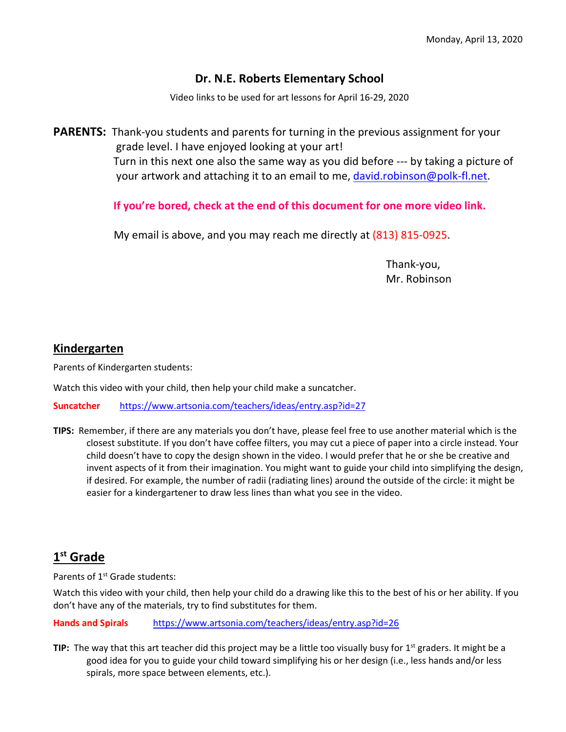### **Dr. N.E. Roberts Elementary School**

Video links to be used for art lessons for April 16-29, 2020

**PARENTS:** Thank-you students and parents for turning in the previous assignment for your grade level. I have enjoyed looking at your art! Turn in this next one also the same way as you did before --- by taking a picture of your artwork and attaching it to an email to me, [david.robinson@polk-fl.net.](mailto:david.robinson@polk-fl.net)

**If you're bored, check at the end of this document for one more video link.** 

My email is above, and you may reach me directly at (813) 815-0925.

Thank-you, Mr. Robinson

#### **Kindergarten**

Parents of Kindergarten students:

Watch this video with your child, then help your child make a suncatcher.

**Suncatcher** <https://www.artsonia.com/teachers/ideas/entry.asp?id=27>

**TIPS:** Remember, if there are any materials you don't have, please feel free to use another material which is the closest substitute. If you don't have coffee filters, you may cut a piece of paper into a circle instead. Your child doesn't have to copy the design shown in the video. I would prefer that he or she be creative and invent aspects of it from their imagination. You might want to guide your child into simplifying the design, if desired. For example, the number of radii (radiating lines) around the outside of the circle: it might be easier for a kindergartener to draw less lines than what you see in the video.

### **1st Grade**

Parents of 1<sup>st</sup> Grade students:

Watch this video with your child, then help your child do a drawing like this to the best of his or her ability. If you don't have any of the materials, try to find substitutes for them.

**Hands and Spirals** <https://www.artsonia.com/teachers/ideas/entry.asp?id=26>

**TIP:** The way that this art teacher did this project may be a little too visually busy for 1<sup>st</sup> graders. It might be a good idea for you to guide your child toward simplifying his or her design (i.e., less hands and/or less spirals, more space between elements, etc.).